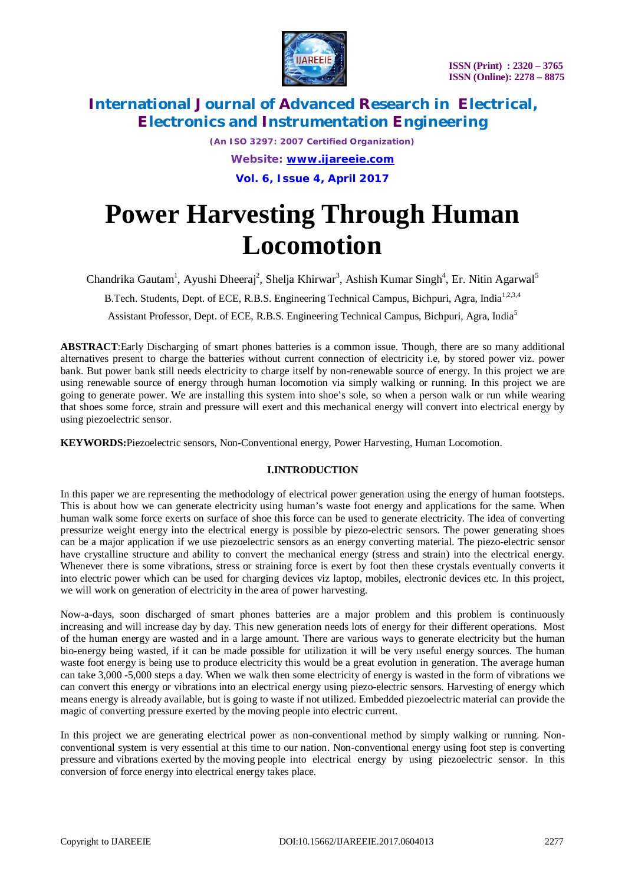

*(An ISO 3297: 2007 Certified Organization) Website: [www.ijareeie.com](http://www.ijareeie.com)*

**Vol. 6, Issue 4, April 2017**

# **Power Harvesting Through Human Locomotion**

Chandrika Gautam<sup>1</sup>, Ayushi Dheeraj<sup>2</sup>, Shelja Khirwar<sup>3</sup>, Ashish Kumar Singh<sup>4</sup>, Er. Nitin Agarwal<sup>5</sup>

B.Tech. Students, Dept. of ECE, R.B.S. Engineering Technical Campus, Bichpuri, Agra, India<sup>1,2,3,4</sup>

Assistant Professor, Dept. of ECE, R.B.S. Engineering Technical Campus, Bichpuri, Agra, India<sup>5</sup>

**ABSTRACT**:Early Discharging of smart phones batteries is a common issue. Though, there are so many additional alternatives present to charge the batteries without current connection of electricity i.e, by stored power viz. power bank. But power bank still needs electricity to charge itself by non-renewable source of energy. In this project we are using renewable source of energy through human locomotion via simply walking or running. In this project we are going to generate power. We are installing this system into shoe's sole, so when a person walk or run while wearing that shoes some force, strain and pressure will exert and this mechanical energy will convert into electrical energy by using piezoelectric sensor.

**KEYWORDS:**Piezoelectric sensors, Non-Conventional energy, Power Harvesting, Human Locomotion.

# **I.INTRODUCTION**

In this paper we are representing the methodology of electrical power generation using the energy of human footsteps. This is about how we can generate electricity using human's waste foot energy and applications for the same. When human walk some force exerts on surface of shoe this force can be used to generate electricity. The idea of converting pressurize weight energy into the electrical energy is possible by piezo-electric sensors. The power generating shoes can be a major application if we use piezoelectric sensors as an energy converting material. The piezo-electric sensor have crystalline structure and ability to convert the mechanical energy (stress and strain) into the electrical energy. Whenever there is some vibrations, stress or straining force is exert by foot then these crystals eventually converts it into electric power which can be used for charging devices viz laptop, mobiles, electronic devices etc. In this project, we will work on generation of electricity in the area of power harvesting.

Now-a-days, soon discharged of smart phones batteries are a major problem and this problem is continuously increasing and will increase day by day. This new generation needs lots of energy for their different operations. Most of the human energy are wasted and in a large amount. There are various ways to generate electricity but the human bio-energy being wasted, if it can be made possible for utilization it will be very useful energy sources. The human waste foot energy is being use to produce electricity this would be a great evolution in generation. The average human can take 3,000 -5,000 steps a day. When we walk then some electricity of energy is wasted in the form of vibrations we can convert this energy or vibrations into an electrical energy using piezo-electric sensors. Harvesting of energy which means energy is already available, but is going to waste if not utilized. Embedded piezoelectric material can provide the magic of converting pressure exerted by the moving people into electric current.

In this project we are generating electrical power as non-conventional method by simply walking or running. Nonconventional system is very essential at this time to our nation. Non-conventional energy using foot step is converting pressure and vibrations exerted by the moving people into electrical energy by using piezoelectric sensor. In this conversion of force energy into electrical energy takes place.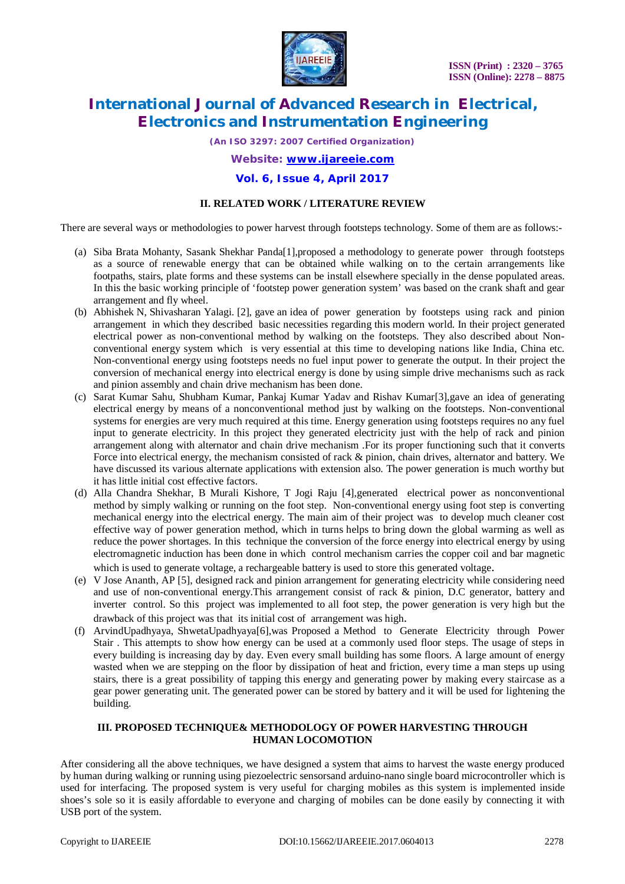

*(An ISO 3297: 2007 Certified Organization)*

### *Website: [www.ijareeie.com](http://www.ijareeie.com)*

### **Vol. 6, Issue 4, April 2017**

### **II. RELATED WORK / LITERATURE REVIEW**

There are several ways or methodologies to power harvest through footsteps technology. Some of them are as follows:-

- (a) Siba Brata Mohanty, Sasank Shekhar Panda[1],proposed a methodology to generate power through footsteps as a source of renewable energy that can be obtained while walking on to the certain arrangements like footpaths, stairs, plate forms and these systems can be install elsewhere specially in the dense populated areas. In this the basic working principle of 'footstep power generation system' was based on the crank shaft and gear arrangement and fly wheel.
- (b) Abhishek N, Shivasharan Yalagi. [2], gave an idea of power generation by footsteps using rack and pinion arrangement in which they described basic necessities regarding this modern world. In their project generated electrical power as non-conventional method by walking on the footsteps. They also described about Nonconventional energy system which is very essential at this time to developing nations like India, China etc. Non-conventional energy using footsteps needs no fuel input power to generate the output. In their project the conversion of mechanical energy into electrical energy is done by using simple drive mechanisms such as rack and pinion assembly and chain drive mechanism has been done.
- (c) Sarat Kumar Sahu, Shubham Kumar, Pankaj Kumar Yadav and Rishav Kumar[3],gave an idea of generating electrical energy by means of a nonconventional method just by walking on the footsteps. Non-conventional systems for energies are very much required at this time. Energy generation using footsteps requires no any fuel input to generate electricity. In this project they generated electricity just with the help of rack and pinion arrangement along with alternator and chain drive mechanism .For its proper functioning such that it converts Force into electrical energy, the mechanism consisted of rack & pinion, chain drives, alternator and battery. We have discussed its various alternate applications with extension also. The power generation is much worthy but it has little initial cost effective factors.
- (d) Alla Chandra Shekhar, B Murali Kishore, T Jogi Raju [4],generated electrical power as nonconventional method by simply walking or running on the foot step. Non-conventional energy using foot step is converting mechanical energy into the electrical energy. The main aim of their project was to develop much cleaner cost effective way of power generation method, which in turns helps to bring down the global warming as well as reduce the power shortages. In this technique the conversion of the force energy into electrical energy by using electromagnetic induction has been done in which control mechanism carries the copper coil and bar magnetic which is used to generate voltage, a rechargeable battery is used to store this generated voltage.
- (e) V Jose Ananth, AP [5], designed rack and pinion arrangement for generating electricity while considering need and use of non-conventional energy.This arrangement consist of rack & pinion, D.C generator, battery and inverter control. So this project was implemented to all foot step, the power generation is very high but the drawback of this project was that its initial cost of arrangement was high.
- (f) ArvindUpadhyaya, ShwetaUpadhyaya[6],was Proposed a Method to Generate Electricity through Power Stair . This attempts to show how energy can be used at a commonly used floor steps. The usage of steps in every building is increasing day by day. Even every small building has some floors. A large amount of energy wasted when we are stepping on the floor by dissipation of heat and friction, every time a man steps up using stairs, there is a great possibility of tapping this energy and generating power by making every staircase as a gear power generating unit. The generated power can be stored by battery and it will be used for lightening the building.

### **III. PROPOSED TECHNIQUE& METHODOLOGY OF POWER HARVESTING THROUGH HUMAN LOCOMOTION**

After considering all the above techniques, we have designed a system that aims to harvest the waste energy produced by human during walking or running using piezoelectric sensorsand arduino-nano single board microcontroller which is used for interfacing. The proposed system is very useful for charging mobiles as this system is implemented inside shoes's sole so it is easily affordable to everyone and charging of mobiles can be done easily by connecting it with USB port of the system.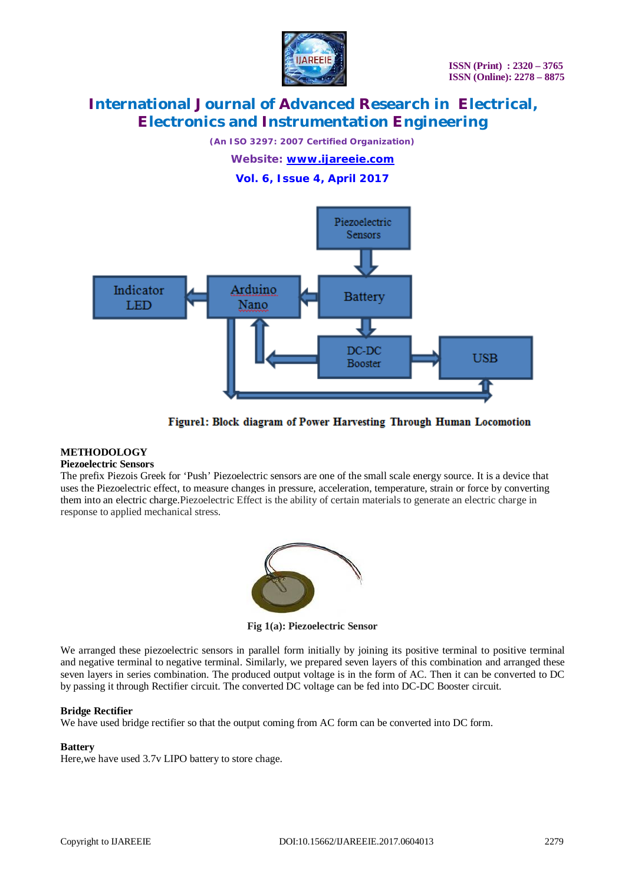

*(An ISO 3297: 2007 Certified Organization) Website: [www.ijareeie.com](http://www.ijareeie.com)*

**Vol. 6, Issue 4, April 2017**



Figurel: Block diagram of Power Harvesting Through Human Locomotion

# **METHODOLOGY**

### **Piezoelectric Sensors**

The prefix Piezois Greek for 'Push' Piezoelectric sensors are one of the small scale energy source. It is a device that uses the Piezoelectric effect, to measure changes in pressure, acceleration, temperature, strain or force by converting them into an electric charge.Piezoelectric Effect is the ability of certain materials to generate an electric charge in response to applied mechanical stress.



**Fig 1(a): Piezoelectric Sensor**

We arranged these piezoelectric sensors in parallel form initially by joining its positive terminal to positive terminal and negative terminal to negative terminal. Similarly, we prepared seven layers of this combination and arranged these seven layers in series combination. The produced output voltage is in the form of AC. Then it can be converted to DC by passing it through Rectifier circuit. The converted DC voltage can be fed into DC-DC Booster circuit.

### **Bridge Rectifier**

We have used bridge rectifier so that the output coming from AC form can be converted into DC form.

# **Battery**

Here,we have used 3.7v LIPO battery to store chage.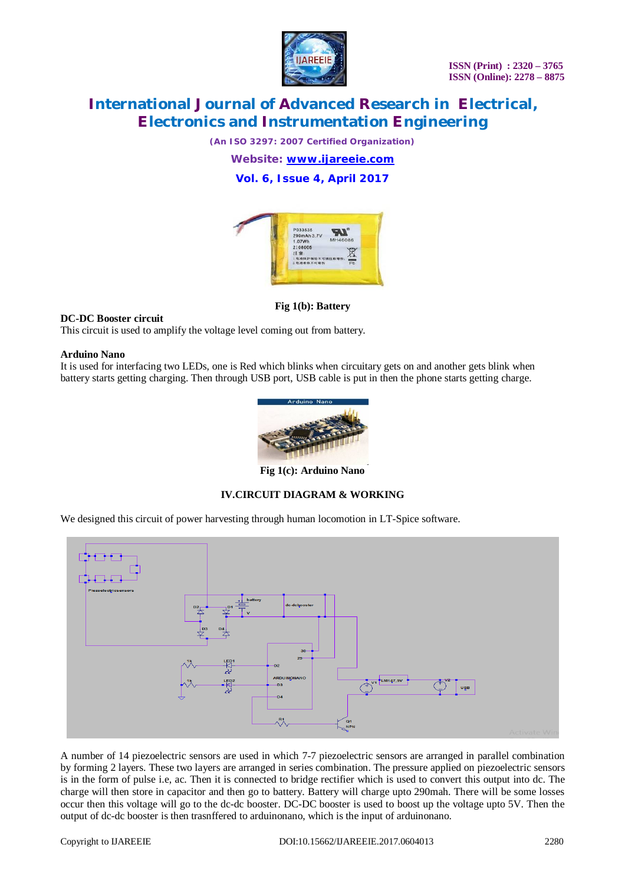

*(An ISO 3297: 2007 Certified Organization)*

*Website: [www.ijareeie.com](http://www.ijareeie.com)*

**Vol. 6, Issue 4, April 2017**



**Fig 1(b): Battery**

### **DC-DC Booster circuit**

This circuit is used to amplify the voltage level coming out from battery.

### **Arduino Nano**

It is used for interfacing two LEDs, one is Red which blinks when circuitary gets on and another gets blink when battery starts getting charging. Then through USB port, USB cable is put in then the phone starts getting charge.



**Fig 1(c): Arduino Nano**

# **IV.CIRCUIT DIAGRAM & WORKING**

We designed this circuit of power harvesting through human locomotion in LT-Spice software.



A number of 14 piezoelectric sensors are used in which 7-7 piezoelectric sensors are arranged in parallel combination by forming 2 layers. These two layers are arranged in series combination. The pressure applied on piezoelectric sensors is in the form of pulse i.e, ac. Then it is connected to bridge rectifier which is used to convert this output into dc. The charge will then store in capacitor and then go to battery. Battery will charge upto 290mah. There will be some losses occur then this voltage will go to the dc-dc booster. DC-DC booster is used to boost up the voltage upto 5V. Then the output of dc-dc booster is then trasnffered to arduinonano, which is the input of arduinonano.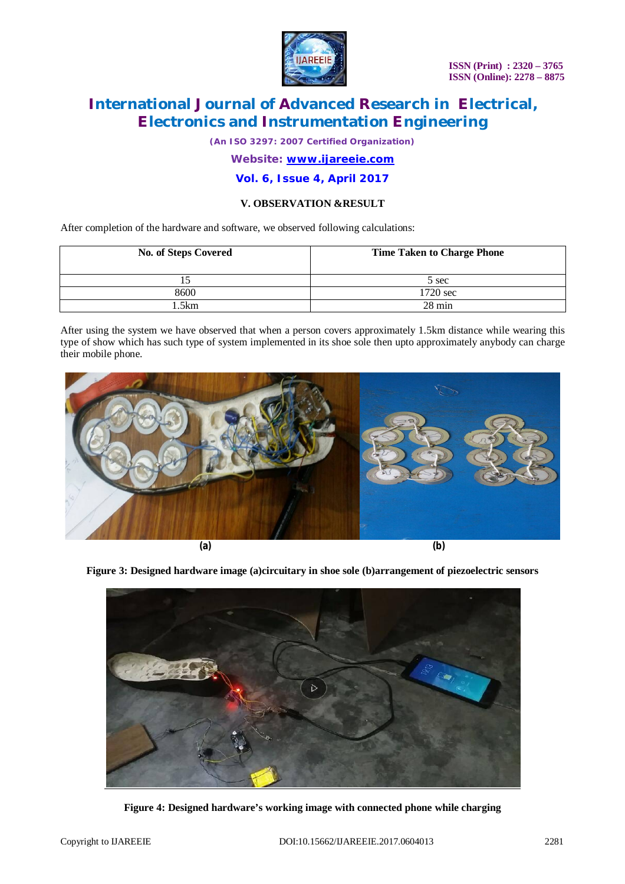

*(An ISO 3297: 2007 Certified Organization)*

### *Website: [www.ijareeie.com](http://www.ijareeie.com)*

### **Vol. 6, Issue 4, April 2017**

### **V. OBSERVATION &RESULT**

After completion of the hardware and software, we observed following calculations:

| <b>No. of Steps Covered</b> | <b>Time Taken to Charge Phone</b> |
|-----------------------------|-----------------------------------|
|                             | 5 sec                             |
| 8600                        | $1720 \text{ sec}$                |
| .5km                        | $28 \text{ min}$                  |

After using the system we have observed that when a person covers approximately 1.5km distance while wearing this type of show which has such type of system implemented in its shoe sole then upto approximately anybody can charge their mobile phone.



**Figure 3: Designed hardware image (a)circuitary in shoe sole (b)arrangement of piezoelectric sensors** 



**Figure 4: Designed hardware's working image with connected phone while charging**